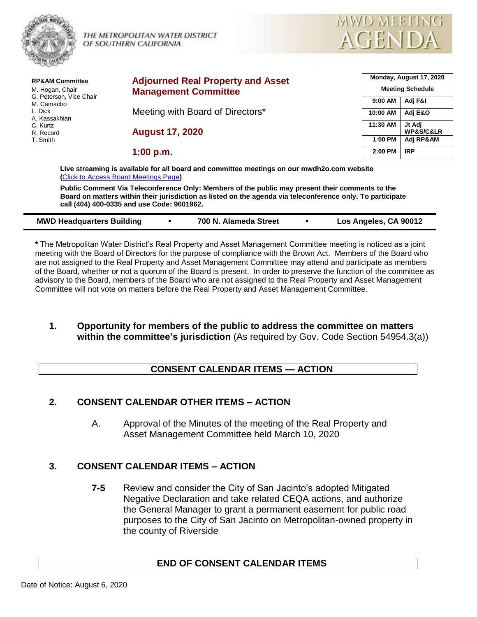

THE METROPOLITAN WATER DISTRICT  $\bigwedge_{\mathcal{P}} \bigcap_{\mathcal{P}} \bigwedge_{\mathcal{P}} \bigcap_{\mathcal{P}} \bigwedge_{\mathcal{P}} \bigcap_{\mathcal{P}} \bigwedge_{\mathcal{P}} \bigcap_{\mathcal{P}} \bigwedge_{\mathcal{P}} \bigcap_{\mathcal{P}} \bigwedge_{\mathcal{P}} \bigcap_{\mathcal{P}} \bigwedge_{\mathcal{P}} \bigcap_{\mathcal{P}} \bigwedge_{\mathcal{P}} \bigcap_{\mathcal{P}} \bigwedge_{\mathcal{P}} \bigcap_{\mathcal{P$ 



| <b>RP&amp;AM Committee</b><br>M. Hogan, Chair<br>G. Peterson, Vice Chair<br>M. Camacho<br>L. Dick<br>A. Kassakhian<br>C. Kurtz<br>R. Record<br>T. Smith | <b>Adjourned Real Property and Asset</b>                                                                                                                                                                                                                    |          | Monday, August 17, 2020<br><b>Meeting Schedule</b> |  |
|---------------------------------------------------------------------------------------------------------------------------------------------------------|-------------------------------------------------------------------------------------------------------------------------------------------------------------------------------------------------------------------------------------------------------------|----------|----------------------------------------------------|--|
|                                                                                                                                                         | <b>Management Committee</b>                                                                                                                                                                                                                                 | 9:00 AM  | Adj F&I                                            |  |
|                                                                                                                                                         | Meeting with Board of Directors*                                                                                                                                                                                                                            | 10:00 AM | Adj E&O                                            |  |
|                                                                                                                                                         | <b>August 17, 2020</b>                                                                                                                                                                                                                                      | 11:30 AM | Jt Adi<br><b>WP&amp;S/C&amp;LR</b>                 |  |
|                                                                                                                                                         |                                                                                                                                                                                                                                                             | 1:00 PM  | Adj RP&AM                                          |  |
|                                                                                                                                                         | 1:00 p.m.                                                                                                                                                                                                                                                   | 2:00 PM  | <b>IRP</b>                                         |  |
|                                                                                                                                                         | Live streaming is available for all board and committee meetings on our mwdh2o.com website<br>(Click to Access Board Meetings Page)                                                                                                                         |          |                                                    |  |
|                                                                                                                                                         | Public Comment Via Teleconference Only: Members of the public may present their comments to the<br>Board on matters within their jurisdiction as listed on the agenda via teleconference only. To participate<br>call (404) 400-0335 and use Code: 9601962. |          |                                                    |  |

| <b>MWD Headquarters Building</b> | 700 N. Alameda Street | Los Angeles, CA 90012 |
|----------------------------------|-----------------------|-----------------------|

**\*** The Metropolitan Water District's Real Property and Asset Management Committee meeting is noticed as a joint meeting with the Board of Directors for the purpose of compliance with the Brown Act. Members of the Board who are not assigned to the Real Property and Asset Management Committee may attend and participate as members of the Board, whether or not a quorum of the Board is present. In order to preserve the function of the committee as advisory to the Board, members of the Board who are not assigned to the Real Property and Asset Management Committee will not vote on matters before the Real Property and Asset Management Committee.

#### **1. Opportunity for members of the public to address the committee on matters within the committee's jurisdiction** (As required by Gov. Code Section 54954.3(a))

## **CONSENT CALENDAR ITEMS — ACTION**

## **2. CONSENT CALENDAR OTHER ITEMS – ACTION**

A. Approval of the Minutes of the meeting of the Real Property and Asset Management Committee held March 10, 2020

## **3. CONSENT CALENDAR ITEMS – ACTION**

**7-5** Review and consider the City of San Jacinto's adopted Mitigated Negative Declaration and take related CEQA actions, and authorize the General Manager to grant a permanent easement for public road purposes to the City of San Jacinto on Metropolitan-owned property in the county of Riverside

## **END OF CONSENT CALENDAR ITEMS**